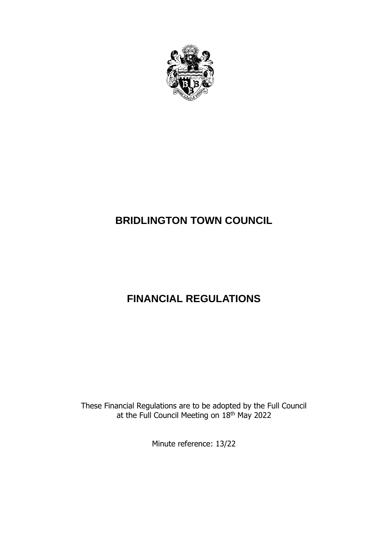

# **BRIDLINGTON TOWN COUNCIL**

# **FINANCIAL REGULATIONS**

These Financial Regulations are to be adopted by the Full Council at the Full Council Meeting on 18<sup>th</sup> May 2022

Minute reference: 13/22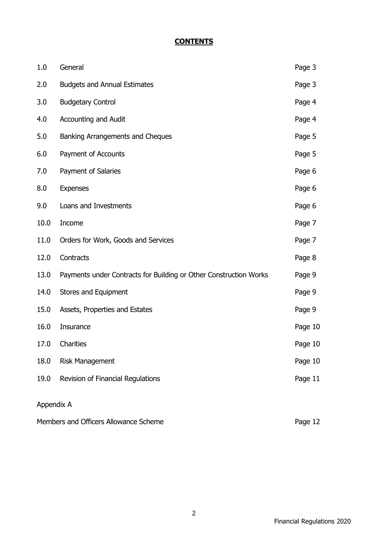# **CONTENTS**

| 1.0                                              | General                                                           | Page 3  |
|--------------------------------------------------|-------------------------------------------------------------------|---------|
| 2.0                                              | <b>Budgets and Annual Estimates</b>                               | Page 3  |
| 3.0                                              | <b>Budgetary Control</b>                                          | Page 4  |
| 4.0                                              | <b>Accounting and Audit</b>                                       | Page 4  |
| 5.0                                              | Banking Arrangements and Cheques                                  | Page 5  |
| 6.0                                              | Payment of Accounts                                               | Page 5  |
| 7.0                                              | Payment of Salaries                                               | Page 6  |
| 8.0                                              | <b>Expenses</b>                                                   | Page 6  |
| 9.0                                              | Loans and Investments                                             | Page 6  |
| 10.0                                             | Income                                                            | Page 7  |
| 11.0                                             | Orders for Work, Goods and Services                               | Page 7  |
| 12.0                                             | Contracts                                                         | Page 8  |
| 13.0                                             | Payments under Contracts for Building or Other Construction Works | Page 9  |
| 14.0                                             | Stores and Equipment                                              | Page 9  |
| 15.0                                             | Assets, Properties and Estates                                    | Page 9  |
| 16.0                                             | Insurance                                                         | Page 10 |
| 17.0                                             | Charities                                                         | Page 10 |
| 18.0                                             | <b>Risk Management</b>                                            | Page 10 |
| 19.0                                             | Revision of Financial Regulations                                 | Page 11 |
| Appendix A                                       |                                                                   |         |
| Members and Officers Allowance Scheme<br>Page 12 |                                                                   |         |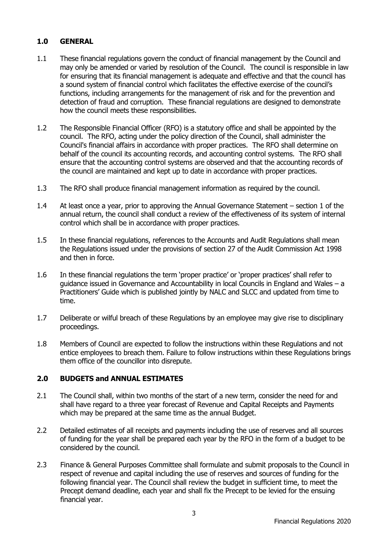# **1.0 GENERAL**

- 1.1 These financial regulations govern the conduct of financial management by the Council and may only be amended or varied by resolution of the Council. The council is responsible in law for ensuring that its financial management is adequate and effective and that the council has a sound system of financial control which facilitates the effective exercise of the council's functions, including arrangements for the management of risk and for the prevention and detection of fraud and corruption. These financial regulations are designed to demonstrate how the council meets these responsibilities.
- 1.2 The Responsible Financial Officer (RFO) is a statutory office and shall be appointed by the council. The RFO, acting under the policy direction of the Council, shall administer the Council's financial affairs in accordance with proper practices. The RFO shall determine on behalf of the council its accounting records, and accounting control systems. The RFO shall ensure that the accounting control systems are observed and that the accounting records of the council are maintained and kept up to date in accordance with proper practices.
- 1.3 The RFO shall produce financial management information as required by the council.
- 1.4 At least once a year, prior to approving the Annual Governance Statement section 1 of the annual return, the council shall conduct a review of the effectiveness of its system of internal control which shall be in accordance with proper practices.
- 1.5 In these financial regulations, references to the Accounts and Audit Regulations shall mean the Regulations issued under the provisions of section 27 of the Audit Commission Act 1998 and then in force.
- 1.6 In these financial regulations the term 'proper practice' or 'proper practices' shall refer to guidance issued in Governance and Accountability in local Councils in England and Wales – a Practitioners' Guide which is published jointly by NALC and SLCC and updated from time to time.
- 1.7 Deliberate or wilful breach of these Regulations by an employee may give rise to disciplinary proceedings.
- 1.8 Members of Council are expected to follow the instructions within these Regulations and not entice employees to breach them. Failure to follow instructions within these Regulations brings them office of the councillor into disrepute.

## **2.0 BUDGETS and ANNUAL ESTIMATES**

- 2.1 The Council shall, within two months of the start of a new term, consider the need for and shall have regard to a three year forecast of Revenue and Capital Receipts and Payments which may be prepared at the same time as the annual Budget.
- 2.2 Detailed estimates of all receipts and payments including the use of reserves and all sources of funding for the year shall be prepared each year by the RFO in the form of a budget to be considered by the council.
- 2.3 Finance & General Purposes Committee shall formulate and submit proposals to the Council in respect of revenue and capital including the use of reserves and sources of funding for the following financial year. The Council shall review the budget in sufficient time, to meet the Precept demand deadline, each year and shall fix the Precept to be levied for the ensuing financial year.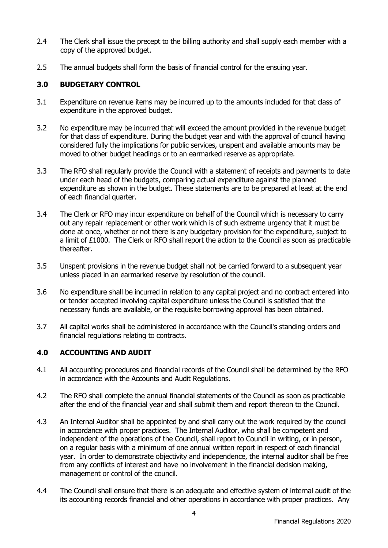- 2.4 The Clerk shall issue the precept to the billing authority and shall supply each member with a copy of the approved budget.
- 2.5 The annual budgets shall form the basis of financial control for the ensuing year.

#### **3.0 BUDGETARY CONTROL**

- 3.1 Expenditure on revenue items may be incurred up to the amounts included for that class of expenditure in the approved budget.
- 3.2 No expenditure may be incurred that will exceed the amount provided in the revenue budget for that class of expenditure. During the budget year and with the approval of council having considered fully the implications for public services, unspent and available amounts may be moved to other budget headings or to an earmarked reserve as appropriate.
- 3.3 The RFO shall regularly provide the Council with a statement of receipts and payments to date under each head of the budgets, comparing actual expenditure against the planned expenditure as shown in the budget. These statements are to be prepared at least at the end of each financial quarter.
- 3.4 The Clerk or RFO may incur expenditure on behalf of the Council which is necessary to carry out any repair replacement or other work which is of such extreme urgency that it must be done at once, whether or not there is any budgetary provision for the expenditure, subject to a limit of £1000. The Clerk or RFO shall report the action to the Council as soon as practicable thereafter.
- 3.5 Unspent provisions in the revenue budget shall not be carried forward to a subsequent year unless placed in an earmarked reserve by resolution of the council.
- 3.6 No expenditure shall be incurred in relation to any capital project and no contract entered into or tender accepted involving capital expenditure unless the Council is satisfied that the necessary funds are available, or the requisite borrowing approval has been obtained.
- 3.7 All capital works shall be administered in accordance with the Council's standing orders and financial regulations relating to contracts.

## **4.0 ACCOUNTING AND AUDIT**

- 4.1 All accounting procedures and financial records of the Council shall be determined by the RFO in accordance with the Accounts and Audit Regulations.
- 4.2 The RFO shall complete the annual financial statements of the Council as soon as practicable after the end of the financial year and shall submit them and report thereon to the Council.
- 4.3 An Internal Auditor shall be appointed by and shall carry out the work required by the council in accordance with proper practices. The Internal Auditor, who shall be competent and independent of the operations of the Council, shall report to Council in writing, or in person, on a regular basis with a minimum of one annual written report in respect of each financial year. In order to demonstrate objectivity and independence, the internal auditor shall be free from any conflicts of interest and have no involvement in the financial decision making, management or control of the council.
- 4.4 The Council shall ensure that there is an adequate and effective system of internal audit of the its accounting records financial and other operations in accordance with proper practices. Any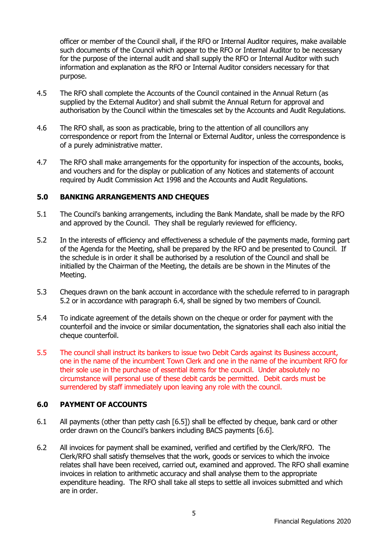officer or member of the Council shall, if the RFO or Internal Auditor requires, make available such documents of the Council which appear to the RFO or Internal Auditor to be necessary for the purpose of the internal audit and shall supply the RFO or Internal Auditor with such information and explanation as the RFO or Internal Auditor considers necessary for that purpose.

- 4.5 The RFO shall complete the Accounts of the Council contained in the Annual Return (as supplied by the External Auditor) and shall submit the Annual Return for approval and authorisation by the Council within the timescales set by the Accounts and Audit Regulations.
- 4.6 The RFO shall, as soon as practicable, bring to the attention of all councillors any correspondence or report from the Internal or External Auditor, unless the correspondence is of a purely administrative matter.
- 4.7 The RFO shall make arrangements for the opportunity for inspection of the accounts, books, and vouchers and for the display or publication of any Notices and statements of account required by Audit Commission Act 1998 and the Accounts and Audit Regulations.

#### **5.0 BANKING ARRANGEMENTS AND CHEQUES**

- 5.1 The Council's banking arrangements, including the Bank Mandate, shall be made by the RFO and approved by the Council. They shall be regularly reviewed for efficiency.
- 5.2 In the interests of efficiency and effectiveness a schedule of the payments made, forming part of the Agenda for the Meeting, shall be prepared by the RFO and be presented to Council. If the schedule is in order it shall be authorised by a resolution of the Council and shall be initialled by the Chairman of the Meeting, the details are be shown in the Minutes of the Meeting.
- 5.3 Cheques drawn on the bank account in accordance with the schedule referred to in paragraph 5.2 or in accordance with paragraph 6.4, shall be signed by two members of Council.
- 5.4 To indicate agreement of the details shown on the cheque or order for payment with the counterfoil and the invoice or similar documentation, the signatories shall each also initial the cheque counterfoil.
- 5.5 The council shall instruct its bankers to issue two Debit Cards against its Business account, one in the name of the incumbent Town Clerk and one in the name of the incumbent RFO for their sole use in the purchase of essential items for the council. Under absolutely no circumstance will personal use of these debit cards be permitted. Debit cards must be surrendered by staff immediately upon leaving any role with the council.

#### **6.0 PAYMENT OF ACCOUNTS**

- 6.1 All payments (other than petty cash [6.5]) shall be effected by cheque, bank card or other order drawn on the Council's bankers including BACS payments [6.6].
- 6.2 All invoices for payment shall be examined, verified and certified by the Clerk/RFO. The Clerk/RFO shall satisfy themselves that the work, goods or services to which the invoice relates shall have been received, carried out, examined and approved. The RFO shall examine invoices in relation to arithmetic accuracy and shall analyse them to the appropriate expenditure heading. The RFO shall take all steps to settle all invoices submitted and which are in order.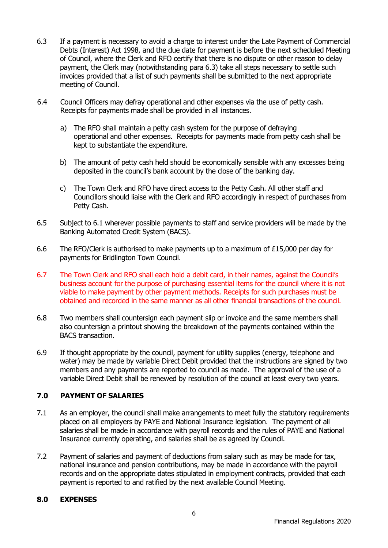- 6.3 If a payment is necessary to avoid a charge to interest under the Late Payment of Commercial Debts (Interest) Act 1998, and the due date for payment is before the next scheduled Meeting of Council, where the Clerk and RFO certify that there is no dispute or other reason to delay payment, the Clerk may (notwithstanding para 6.3) take all steps necessary to settle such invoices provided that a list of such payments shall be submitted to the next appropriate meeting of Council.
- 6.4 Council Officers may defray operational and other expenses via the use of petty cash. Receipts for payments made shall be provided in all instances.
	- a) The RFO shall maintain a petty cash system for the purpose of defraying operational and other expenses. Receipts for payments made from petty cash shall be kept to substantiate the expenditure.
	- b) The amount of petty cash held should be economically sensible with any excesses being deposited in the council's bank account by the close of the banking day.
	- c) The Town Clerk and RFO have direct access to the Petty Cash. All other staff and Councillors should liaise with the Clerk and RFO accordingly in respect of purchases from Petty Cash.
- 6.5 Subject to 6.1 wherever possible payments to staff and service providers will be made by the Banking Automated Credit System (BACS).
- 6.6 The RFO/Clerk is authorised to make payments up to a maximum of  $£15,000$  per day for payments for Bridlington Town Council.
- 6.7 The Town Clerk and RFO shall each hold a debit card, in their names, against the Council's business account for the purpose of purchasing essential items for the council where it is not viable to make payment by other payment methods. Receipts for such purchases must be obtained and recorded in the same manner as all other financial transactions of the council.
- 6.8 Two members shall countersign each payment slip or invoice and the same members shall also countersign a printout showing the breakdown of the payments contained within the BACS transaction.
- 6.9 If thought appropriate by the council, payment for utility supplies (energy, telephone and water) may be made by variable Direct Debit provided that the instructions are signed by two members and any payments are reported to council as made. The approval of the use of a variable Direct Debit shall be renewed by resolution of the council at least every two years.

# **7.0 PAYMENT OF SALARIES**

- 7.1 As an employer, the council shall make arrangements to meet fully the statutory requirements placed on all employers by PAYE and National Insurance legislation. The payment of all salaries shall be made in accordance with payroll records and the rules of PAYE and National Insurance currently operating, and salaries shall be as agreed by Council.
- 7.2 Payment of salaries and payment of deductions from salary such as may be made for tax, national insurance and pension contributions, may be made in accordance with the payroll records and on the appropriate dates stipulated in employment contracts, provided that each payment is reported to and ratified by the next available Council Meeting.

#### **8.0 EXPENSES**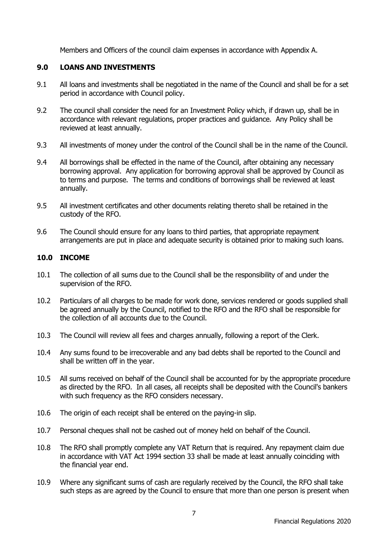Members and Officers of the council claim expenses in accordance with Appendix A.

## **9.0 LOANS AND INVESTMENTS**

- 9.1 All loans and investments shall be negotiated in the name of the Council and shall be for a set period in accordance with Council policy.
- 9.2 The council shall consider the need for an Investment Policy which, if drawn up, shall be in accordance with relevant regulations, proper practices and guidance. Any Policy shall be reviewed at least annually.
- 9.3 All investments of money under the control of the Council shall be in the name of the Council.
- 9.4 All borrowings shall be effected in the name of the Council, after obtaining any necessary borrowing approval. Any application for borrowing approval shall be approved by Council as to terms and purpose. The terms and conditions of borrowings shall be reviewed at least annually.
- 9.5 All investment certificates and other documents relating thereto shall be retained in the custody of the RFO.
- 9.6 The Council should ensure for any loans to third parties, that appropriate repayment arrangements are put in place and adequate security is obtained prior to making such loans.

#### **10.0 INCOME**

- 10.1 The collection of all sums due to the Council shall be the responsibility of and under the supervision of the RFO.
- 10.2 Particulars of all charges to be made for work done, services rendered or goods supplied shall be agreed annually by the Council, notified to the RFO and the RFO shall be responsible for the collection of all accounts due to the Council.
- 10.3 The Council will review all fees and charges annually, following a report of the Clerk.
- 10.4 Any sums found to be irrecoverable and any bad debts shall be reported to the Council and shall be written off in the year.
- 10.5 All sums received on behalf of the Council shall be accounted for by the appropriate procedure as directed by the RFO. In all cases, all receipts shall be deposited with the Council's bankers with such frequency as the RFO considers necessary.
- 10.6 The origin of each receipt shall be entered on the paying-in slip.
- 10.7 Personal cheques shall not be cashed out of money held on behalf of the Council.
- 10.8 The RFO shall promptly complete any VAT Return that is required. Any repayment claim due in accordance with VAT Act 1994 section 33 shall be made at least annually coinciding with the financial year end.
- 10.9 Where any significant sums of cash are regularly received by the Council, the RFO shall take such steps as are agreed by the Council to ensure that more than one person is present when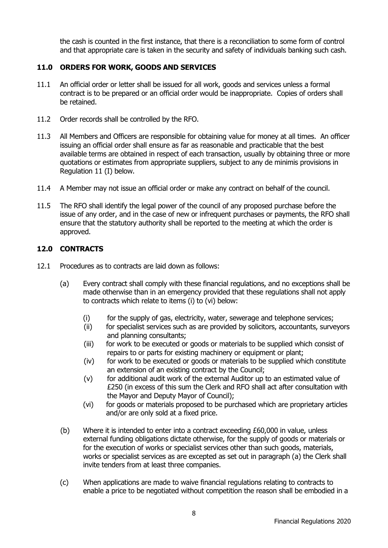the cash is counted in the first instance, that there is a reconciliation to some form of control and that appropriate care is taken in the security and safety of individuals banking such cash.

## **11.0 ORDERS FOR WORK, GOODS AND SERVICES**

- 11.1 An official order or letter shall be issued for all work, goods and services unless a formal contract is to be prepared or an official order would be inappropriate. Copies of orders shall be retained.
- 11.2 Order records shall be controlled by the RFO.
- 11.3 All Members and Officers are responsible for obtaining value for money at all times. An officer issuing an official order shall ensure as far as reasonable and practicable that the best available terms are obtained in respect of each transaction, usually by obtaining three or more quotations or estimates from appropriate suppliers, subject to any de minimis provisions in Regulation 11 (I) below.
- 11.4 A Member may not issue an official order or make any contract on behalf of the council.
- 11.5 The RFO shall identify the legal power of the council of any proposed purchase before the issue of any order, and in the case of new or infrequent purchases or payments, the RFO shall ensure that the statutory authority shall be reported to the meeting at which the order is approved.

#### **12.0 CONTRACTS**

- 12.1 Procedures as to contracts are laid down as follows:
	- (a) Every contract shall comply with these financial regulations, and no exceptions shall be made otherwise than in an emergency provided that these regulations shall not apply to contracts which relate to items (i) to (vi) below:
		- (i) for the supply of gas, electricity, water, sewerage and telephone services;
		- (ii) for specialist services such as are provided by solicitors, accountants, surveyors and planning consultants;
		- (iii) for work to be executed or goods or materials to be supplied which consist of repairs to or parts for existing machinery or equipment or plant;
		- (iv) for work to be executed or goods or materials to be supplied which constitute an extension of an existing contract by the Council;
		- (v) for additional audit work of the external Auditor up to an estimated value of £250 (in excess of this sum the Clerk and RFO shall act after consultation with the Mayor and Deputy Mayor of Council);
		- (vi) for goods or materials proposed to be purchased which are proprietary articles and/or are only sold at a fixed price.
	- (b) Where it is intended to enter into a contract exceeding £60,000 in value, unless external funding obligations dictate otherwise, for the supply of goods or materials or for the execution of works or specialist services other than such goods, materials, works or specialist services as are excepted as set out in paragraph (a) the Clerk shall invite tenders from at least three companies.
	- (c) When applications are made to waive financial regulations relating to contracts to enable a price to be negotiated without competition the reason shall be embodied in a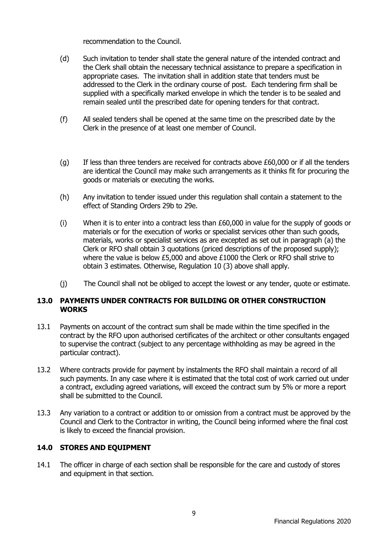recommendation to the Council.

- (d) Such invitation to tender shall state the general nature of the intended contract and the Clerk shall obtain the necessary technical assistance to prepare a specification in appropriate cases. The invitation shall in addition state that tenders must be addressed to the Clerk in the ordinary course of post. Each tendering firm shall be supplied with a specifically marked envelope in which the tender is to be sealed and remain sealed until the prescribed date for opening tenders for that contract.
- (f) All sealed tenders shall be opened at the same time on the prescribed date by the Clerk in the presence of at least one member of Council.
- (g) If less than three tenders are received for contracts above  $£60,000$  or if all the tenders are identical the Council may make such arrangements as it thinks fit for procuring the goods or materials or executing the works.
- (h) Any invitation to tender issued under this regulation shall contain a statement to the effect of Standing Orders 29b to 29e.
- (i) When it is to enter into a contract less than  $£60,000$  in value for the supply of goods or materials or for the execution of works or specialist services other than such goods, materials, works or specialist services as are excepted as set out in paragraph (a) the Clerk or RFO shall obtain 3 quotations (priced descriptions of the proposed supply); where the value is below £5,000 and above £1000 the Clerk or RFO shall strive to obtain 3 estimates. Otherwise, Regulation 10 (3) above shall apply.
- (j) The Council shall not be obliged to accept the lowest or any tender, quote or estimate.

#### **13.0 PAYMENTS UNDER CONTRACTS FOR BUILDING OR OTHER CONSTRUCTION WORKS**

- 13.1 Payments on account of the contract sum shall be made within the time specified in the contract by the RFO upon authorised certificates of the architect or other consultants engaged to supervise the contract (subject to any percentage withholding as may be agreed in the particular contract).
- 13.2 Where contracts provide for payment by instalments the RFO shall maintain a record of all such payments. In any case where it is estimated that the total cost of work carried out under a contract, excluding agreed variations, will exceed the contract sum by 5% or more a report shall be submitted to the Council.
- 13.3 Any variation to a contract or addition to or omission from a contract must be approved by the Council and Clerk to the Contractor in writing, the Council being informed where the final cost is likely to exceed the financial provision.

#### **14.0 STORES AND EQUIPMENT**

14.1 The officer in charge of each section shall be responsible for the care and custody of stores and equipment in that section.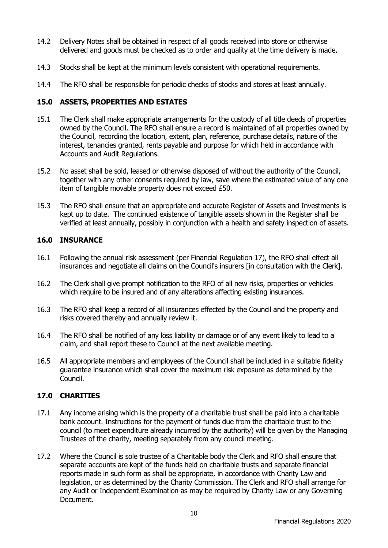- 14.2 Delivery Notes shall be obtained in respect of all goods received into store or otherwise delivered and goods must be checked as to order and quality at the time delivery is made.
- 14.3 Stocks shall be kept at the minimum levels consistent with operational requirements.
- 14.4 The RFO shall be responsible for periodic checks of stocks and stores at least annually.

#### **15.0 ASSETS, PROPERTIES AND ESTATES**

- 15.1 The Clerk shall make appropriate arrangements for the custody of all title deeds of properties owned by the Council. The RFO shall ensure a record is maintained of all properties owned by the Council, recording the location, extent, plan, reference, purchase details, nature of the interest, tenancies granted, rents payable and purpose for which held in accordance with Accounts and Audit Regulations.
- 15.2 No asset shall be sold, leased or otherwise disposed of without the authority of the Council, together with any other consents required by law, save where the estimated value of any one item of tangible movable property does not exceed £50.
- 15.3 The RFO shall ensure that an appropriate and accurate Register of Assets and Investments is kept up to date. The continued existence of tangible assets shown in the Register shall be verified at least annually, possibly in conjunction with a health and safety inspection of assets.

## **16.0 INSURANCE**

- 16.1 Following the annual risk assessment (per Financial Regulation 17), the RFO shall effect all insurances and negotiate all claims on the Council's insurers [in consultation with the Clerk].
- 16.2 The Clerk shall give prompt notification to the RFO of all new risks, properties or vehicles which require to be insured and of any alterations affecting existing insurances.
- 16.3 The RFO shall keep a record of all insurances effected by the Council and the property and risks covered thereby and annually review it.
- 16.4 The RFO shall be notified of any loss liability or damage or of any event likely to lead to a claim, and shall report these to Council at the next available meeting.
- 16.5 All appropriate members and employees of the Council shall be included in a suitable fidelity guarantee insurance which shall cover the maximum risk exposure as determined by the Council.

## **17.0 CHARITIES**

- 17.1 Any income arising which is the property of a charitable trust shall be paid into a charitable bank account. Instructions for the payment of funds due from the charitable trust to the council (to meet expenditure already incurred by the authority) will be given by the Managing Trustees of the charity, meeting separately from any council meeting.
- 17.2 Where the Council is sole trustee of a Charitable body the Clerk and RFO shall ensure that separate accounts are kept of the funds held on charitable trusts and separate financial reports made in such form as shall be appropriate, in accordance with Charity Law and legislation, or as determined by the Charity Commission. The Clerk and RFO shall arrange for any Audit or Independent Examination as may be required by Charity Law or any Governing Document.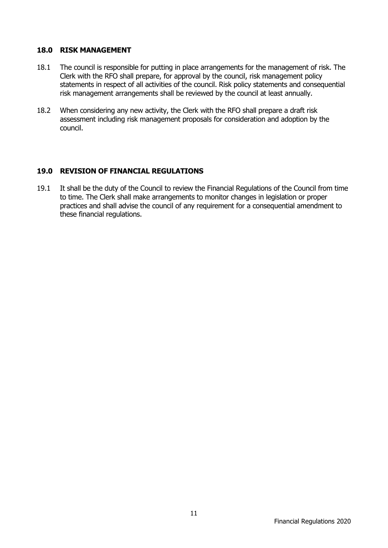#### **18.0 RISK MANAGEMENT**

- 18.1 The council is responsible for putting in place arrangements for the management of risk. The Clerk with the RFO shall prepare, for approval by the council, risk management policy statements in respect of all activities of the council. Risk policy statements and consequential risk management arrangements shall be reviewed by the council at least annually.
- 18.2 When considering any new activity, the Clerk with the RFO shall prepare a draft risk assessment including risk management proposals for consideration and adoption by the council.

## **19.0 REVISION OF FINANCIAL REGULATIONS**

19.1 It shall be the duty of the Council to review the Financial Regulations of the Council from time to time. The Clerk shall make arrangements to monitor changes in legislation or proper practices and shall advise the council of any requirement for a consequential amendment to these financial regulations.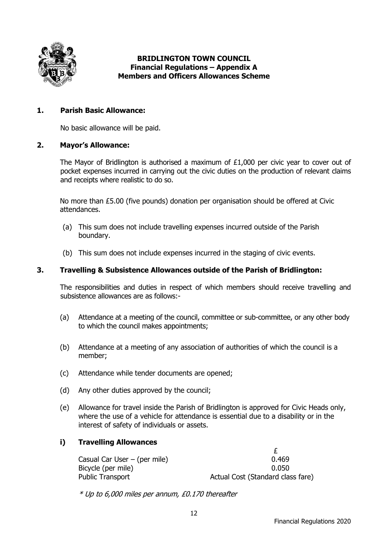

#### **BRIDLINGTON TOWN COUNCIL Financial Regulations – Appendix A Members and Officers Allowances Scheme**

## **1. Parish Basic Allowance:**

No basic allowance will be paid.

#### **2. Mayor's Allowance:**

The Mayor of Bridlington is authorised a maximum of  $£1,000$  per civic year to cover out of pocket expenses incurred in carrying out the civic duties on the production of relevant claims and receipts where realistic to do so.

No more than £5.00 (five pounds) donation per organisation should be offered at Civic attendances.

- (a) This sum does not include travelling expenses incurred outside of the Parish boundary.
- (b) This sum does not include expenses incurred in the staging of civic events.

#### **3. Travelling & Subsistence Allowances outside of the Parish of Bridlington:**

The responsibilities and duties in respect of which members should receive travelling and subsistence allowances are as follows:-

- (a) Attendance at a meeting of the council, committee or sub-committee, or any other body to which the council makes appointments;
- (b) Attendance at a meeting of any association of authorities of which the council is a member;
- (c) Attendance while tender documents are opened;
- (d) Any other duties approved by the council;
- (e) Allowance for travel inside the Parish of Bridlington is approved for Civic Heads only, where the use of a vehicle for attendance is essential due to a disability or in the interest of safety of individuals or assets.

#### **i) Travelling Allowances**

 £ Casual Car User – (per mile) 0.469 Bicycle (per mile) 0.050 Public Transport **Actual Cost (Standard class fare)** 

\* Up to 6,000 miles per annum, £0.170 thereafter